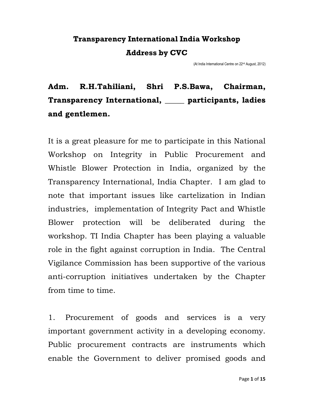## **Transparency International India Workshop Address by CVC**

(At India International Centre on 22nd August, 2012)

## **Adm. R.H.Tahiliani, Shri P.S.Bawa, Chairman, Transparency International, \_\_\_\_\_ participants, ladies and gentlemen.**

It is a great pleasure for me to participate in this National Workshop on Integrity in Public Procurement and Whistle Blower Protection in India, organized by the Transparency International, India Chapter. I am glad to note that important issues like cartelization in Indian industries, implementation of Integrity Pact and Whistle Blower protection will be deliberated during the workshop. TI India Chapter has been playing a valuable role in the fight against corruption in India. The Central Vigilance Commission has been supportive of the various anti-corruption initiatives undertaken by the Chapter from time to time.

1. Procurement of goods and services is a very important government activity in a developing economy. Public procurement contracts are instruments which enable the Government to deliver promised goods and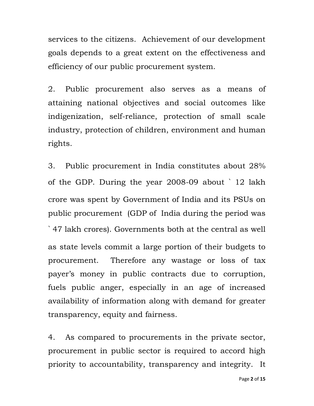services to the citizens. Achievement of our development goals depends to a great extent on the effectiveness and efficiency of our public procurement system.

2. Public procurement also serves as a means of attaining national objectives and social outcomes like indigenization, self-reliance, protection of small scale industry, protection of children, environment and human rights.

3. Public procurement in India constitutes about 28% of the GDP. During the year 2008-09 about ` 12 lakh crore was spent by Government of India and its PSUs on public procurement (GDP of India during the period was  $\degree$  47 lakh crores). Governments both at the central as well as state levels commit a large portion of their budgets to procurement. Therefore any wastage or loss of tax payer's money in public contracts due to corruption, fuels public anger, especially in an age of increased availability of information along with demand for greater transparency, equity and fairness.

4. As compared to procurements in the private sector, procurement in public sector is required to accord high priority to accountability, transparency and integrity. It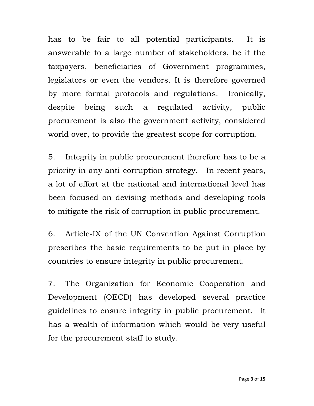has to be fair to all potential participants. It is answerable to a large number of stakeholders, be it the taxpayers, beneficiaries of Government programmes, legislators or even the vendors. It is therefore governed by more formal protocols and regulations. Ironically, despite being such a regulated activity, public procurement is also the government activity, considered world over, to provide the greatest scope for corruption.

5. Integrity in public procurement therefore has to be a priority in any anti-corruption strategy. In recent years, a lot of effort at the national and international level has been focused on devising methods and developing tools to mitigate the risk of corruption in public procurement.

6. Article-IX of the UN Convention Against Corruption prescribes the basic requirements to be put in place by countries to ensure integrity in public procurement.

7. The Organization for Economic Cooperation and Development (OECD) has developed several practice guidelines to ensure integrity in public procurement. It has a wealth of information which would be very useful for the procurement staff to study.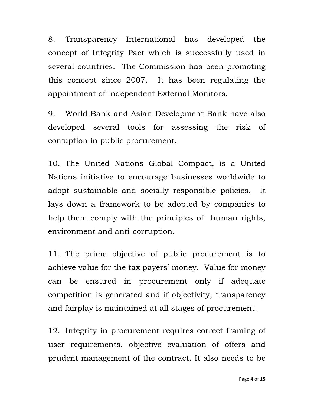8. Transparency International has developed the concept of Integrity Pact which is successfully used in several countries. The Commission has been promoting this concept since 2007. It has been regulating the appointment of Independent External Monitors.

9. World Bank and Asian Development Bank have also developed several tools for assessing the risk of corruption in public procurement.

10. The United Nations Global Compact, is a United Nations initiative to encourage businesses worldwide to adopt sustainable and socially responsible policies. It lays down a framework to be adopted by companies to help them comply with the principles of human rights, environment and anti-corruption.

11. The prime objective of public procurement is to achieve value for the tax payers' money. Value for money can be ensured in procurement only if adequate competition is generated and if objectivity, transparency and fairplay is maintained at all stages of procurement.

12. Integrity in procurement requires correct framing of user requirements, objective evaluation of offers and prudent management of the contract. It also needs to be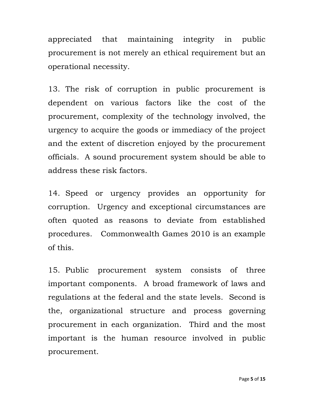appreciated that maintaining integrity in public procurement is not merely an ethical requirement but an operational necessity.

13. The risk of corruption in public procurement is dependent on various factors like the cost of the procurement, complexity of the technology involved, the urgency to acquire the goods or immediacy of the project and the extent of discretion enjoyed by the procurement officials. A sound procurement system should be able to address these risk factors.

14. Speed or urgency provides an opportunity for corruption. Urgency and exceptional circumstances are often quoted as reasons to deviate from established procedures. Commonwealth Games 2010 is an example of this.

15. Public procurement system consists of three important components. A broad framework of laws and regulations at the federal and the state levels. Second is the, organizational structure and process governing procurement in each organization. Third and the most important is the human resource involved in public procurement.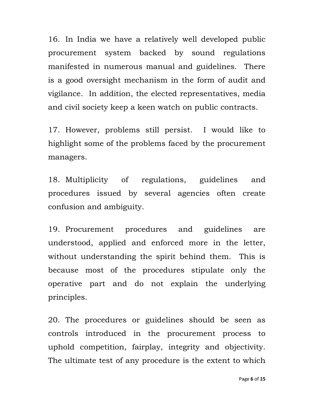16. In India we have a relatively well developed public procurement system backed by sound regulations manifested in numerous manual and guidelines. There is a good oversight mechanism in the form of audit and vigilance. In addition, the elected representatives, media and civil society keep a keen watch on public contracts.

17. However, problems still persist. I would like to highlight some of the problems faced by the procurement managers.

18. Multiplicity of regulations, guidelines and procedures issued by several agencies often create confusion and ambiguity.

19. Procurement procedures and guidelines are understood, applied and enforced more in the letter, without understanding the spirit behind them. This is because most of the procedures stipulate only the operative part and do not explain the underlying principles.

20. The procedures or guidelines should be seen as controls introduced in the procurement process to uphold competition, fairplay, integrity and objectivity. The ultimate test of any procedure is the extent to which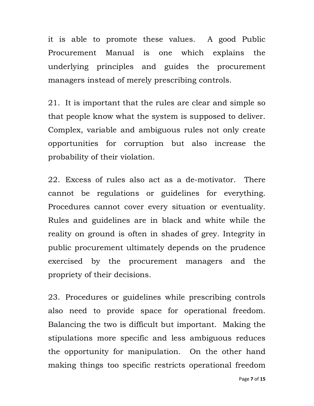it is able to promote these values. A good Public Procurement Manual is one which explains the underlying principles and guides the procurement managers instead of merely prescribing controls.

21. It is important that the rules are clear and simple so that people know what the system is supposed to deliver. Complex, variable and ambiguous rules not only create opportunities for corruption but also increase the probability of their violation.

22. Excess of rules also act as a de-motivator. There cannot be regulations or guidelines for everything. Procedures cannot cover every situation or eventuality. Rules and guidelines are in black and white while the reality on ground is often in shades of grey. Integrity in public procurement ultimately depends on the prudence exercised by the procurement managers and the propriety of their decisions.

23. Procedures or guidelines while prescribing controls also need to provide space for operational freedom. Balancing the two is difficult but important. Making the stipulations more specific and less ambiguous reduces the opportunity for manipulation. On the other hand making things too specific restricts operational freedom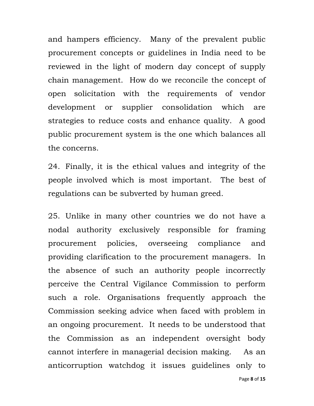and hampers efficiency. Many of the prevalent public procurement concepts or guidelines in India need to be reviewed in the light of modern day concept of supply chain management. How do we reconcile the concept of open solicitation with the requirements of vendor development or supplier consolidation which are strategies to reduce costs and enhance quality. A good public procurement system is the one which balances all the concerns.

24. Finally, it is the ethical values and integrity of the people involved which is most important. The best of regulations can be subverted by human greed.

25. Unlike in many other countries we do not have a nodal authority exclusively responsible for framing procurement policies, overseeing compliance and providing clarification to the procurement managers. In the absence of such an authority people incorrectly perceive the Central Vigilance Commission to perform such a role. Organisations frequently approach the Commission seeking advice when faced with problem in an ongoing procurement. It needs to be understood that the Commission as an independent oversight body cannot interfere in managerial decision making. As an anticorruption watchdog it issues guidelines only to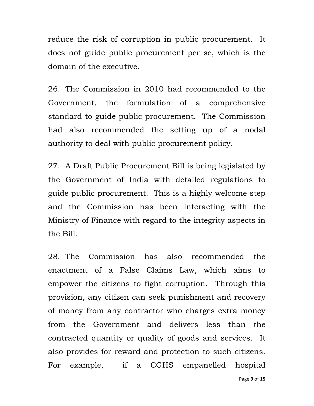reduce the risk of corruption in public procurement. It does not guide public procurement per se, which is the domain of the executive.

26. The Commission in 2010 had recommended to the Government, the formulation of a comprehensive standard to guide public procurement. The Commission had also recommended the setting up of a nodal authority to deal with public procurement policy.

27. A Draft Public Procurement Bill is being legislated by the Government of India with detailed regulations to guide public procurement. This is a highly welcome step and the Commission has been interacting with the Ministry of Finance with regard to the integrity aspects in the Bill.

28. The Commission has also recommended the enactment of a False Claims Law, which aims to empower the citizens to fight corruption. Through this provision, any citizen can seek punishment and recovery of money from any contractor who charges extra money from the Government and delivers less than the contracted quantity or quality of goods and services. It also provides for reward and protection to such citizens. For example, if a CGHS empanelled hospital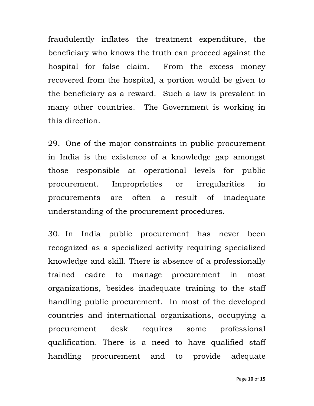fraudulently inflates the treatment expenditure, the beneficiary who knows the truth can proceed against the hospital for false claim. From the excess money recovered from the hospital, a portion would be given to the beneficiary as a reward. Such a law is prevalent in many other countries. The Government is working in this direction.

29. One of the major constraints in public procurement in India is the existence of a knowledge gap amongst those responsible at operational levels for public procurement. Improprieties or irregularities in procurements are often a result of inadequate understanding of the procurement procedures.

30. In India public procurement has never been recognized as a specialized activity requiring specialized knowledge and skill. There is absence of a professionally trained cadre to manage procurement in most organizations, besides inadequate training to the staff handling public procurement. In most of the developed countries and international organizations, occupying a procurement desk requires some professional qualification. There is a need to have qualified staff handling procurement and to provide adequate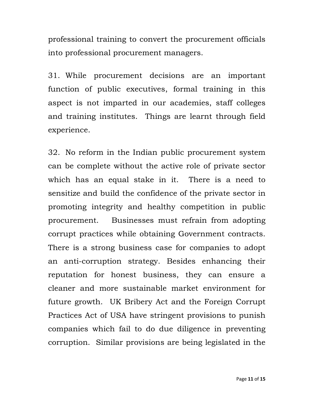professional training to convert the procurement officials into professional procurement managers.

31. While procurement decisions are an important function of public executives, formal training in this aspect is not imparted in our academies, staff colleges and training institutes. Things are learnt through field experience.

32. No reform in the Indian public procurement system can be complete without the active role of private sector which has an equal stake in it. There is a need to sensitize and build the confidence of the private sector in promoting integrity and healthy competition in public procurement. Businesses must refrain from adopting corrupt practices while obtaining Government contracts. There is a strong business case for companies to adopt an anti-corruption strategy. Besides enhancing their reputation for honest business, they can ensure a cleaner and more sustainable market environment for future growth. UK Bribery Act and the Foreign Corrupt Practices Act of USA have stringent provisions to punish companies which fail to do due diligence in preventing corruption. Similar provisions are being legislated in the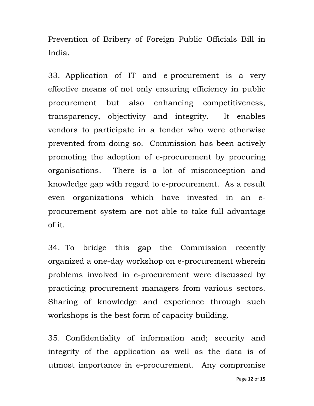Prevention of Bribery of Foreign Public Officials Bill in India.

33. Application of IT and e-procurement is a very effective means of not only ensuring efficiency in public procurement but also enhancing competitiveness, transparency, objectivity and integrity. It enables vendors to participate in a tender who were otherwise prevented from doing so. Commission has been actively promoting the adoption of e-procurement by procuring organisations. There is a lot of misconception and knowledge gap with regard to e-procurement. As a result even organizations which have invested in an eprocurement system are not able to take full advantage of it.

34. To bridge this gap the Commission recently organized a one-day workshop on e-procurement wherein problems involved in e-procurement were discussed by practicing procurement managers from various sectors. Sharing of knowledge and experience through such workshops is the best form of capacity building.

35. Confidentiality of information and; security and integrity of the application as well as the data is of utmost importance in e-procurement. Any compromise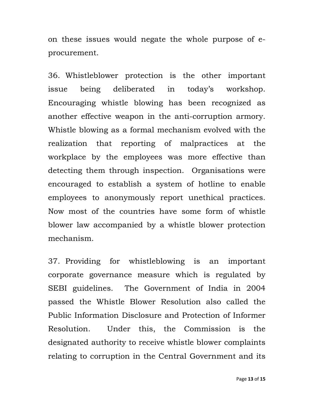on these issues would negate the whole purpose of eprocurement.

36. Whistleblower protection is the other important issue being deliberated in today's workshop. Encouraging whistle blowing has been recognized as another effective weapon in the anti-corruption armory. Whistle blowing as a formal mechanism evolved with the realization that reporting of malpractices at the workplace by the employees was more effective than detecting them through inspection. Organisations were encouraged to establish a system of hotline to enable employees to anonymously report unethical practices. Now most of the countries have some form of whistle blower law accompanied by a whistle blower protection mechanism.

37. Providing for whistleblowing is an important corporate governance measure which is regulated by SEBI guidelines. The Government of India in 2004 passed the Whistle Blower Resolution also called the Public Information Disclosure and Protection of Informer Resolution. Under this, the Commission is the designated authority to receive whistle blower complaints relating to corruption in the Central Government and its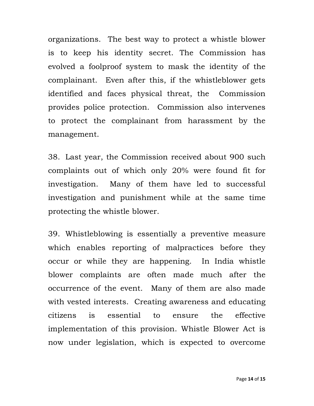organizations. The best way to protect a whistle blower is to keep his identity secret. The Commission has evolved a foolproof system to mask the identity of the complainant. Even after this, if the whistleblower gets identified and faces physical threat, the Commission provides police protection. Commission also intervenes to protect the complainant from harassment by the management.

38. Last year, the Commission received about 900 such complaints out of which only 20% were found fit for investigation. Many of them have led to successful investigation and punishment while at the same time protecting the whistle blower.

39. Whistleblowing is essentially a preventive measure which enables reporting of malpractices before they occur or while they are happening. In India whistle blower complaints are often made much after the occurrence of the event. Many of them are also made with vested interests. Creating awareness and educating citizens is essential to ensure the effective implementation of this provision. Whistle Blower Act is now under legislation, which is expected to overcome